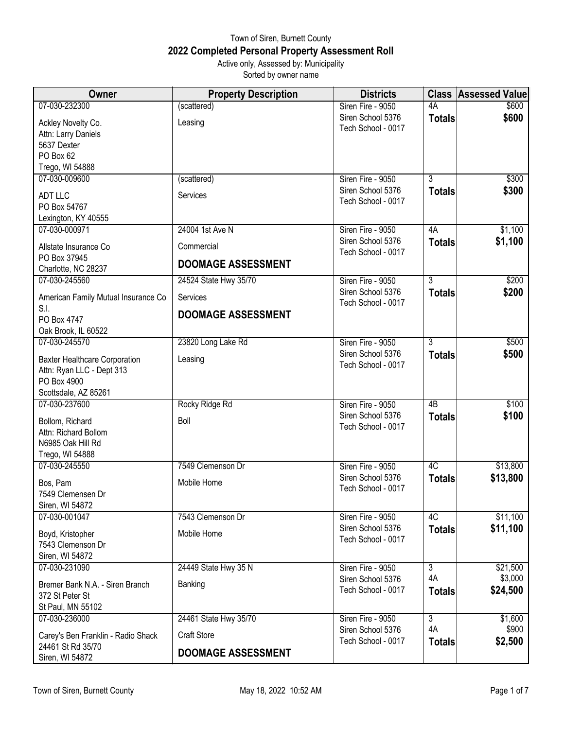## Town of Siren, Burnett County **2022 Completed Personal Property Assessment Roll** Active only, Assessed by: Municipality

Sorted by owner name

| Owner                                     | <b>Property Description</b> | <b>Districts</b>                        |                     | <b>Class Assessed Value</b> |
|-------------------------------------------|-----------------------------|-----------------------------------------|---------------------|-----------------------------|
| 07-030-232300                             | (scattered)                 | Siren Fire - 9050                       | 4A                  | \$600                       |
| Ackley Novelty Co.<br>Attn: Larry Daniels | Leasing                     | Siren School 5376<br>Tech School - 0017 | <b>Totals</b>       | \$600                       |
| 5637 Dexter                               |                             |                                         |                     |                             |
| PO Box 62                                 |                             |                                         |                     |                             |
| Trego, WI 54888<br>07-030-009600          | (scattered)                 | Siren Fire - 9050                       | $\overline{3}$      | \$300                       |
|                                           |                             | Siren School 5376                       | <b>Totals</b>       | \$300                       |
| <b>ADT LLC</b>                            | Services                    | Tech School - 0017                      |                     |                             |
| PO Box 54767<br>Lexington, KY 40555       |                             |                                         |                     |                             |
| 07-030-000971                             | 24004 1st Ave N             | Siren Fire - 9050                       | 4A                  | \$1,100                     |
|                                           |                             | Siren School 5376                       | <b>Totals</b>       | \$1,100                     |
| Allstate Insurance Co                     | Commercial                  | Tech School - 0017                      |                     |                             |
| PO Box 37945<br>Charlotte, NC 28237       | <b>DOOMAGE ASSESSMENT</b>   |                                         |                     |                             |
| 07-030-245560                             | 24524 State Hwy 35/70       | Siren Fire - 9050                       | $\overline{3}$      | \$200                       |
| American Family Mutual Insurance Co       | Services                    | Siren School 5376<br>Tech School - 0017 | <b>Totals</b>       | \$200                       |
| S.I.                                      | <b>DOOMAGE ASSESSMENT</b>   |                                         |                     |                             |
| PO Box 4747                               |                             |                                         |                     |                             |
| Oak Brook, IL 60522<br>07-030-245570      | 23820 Long Lake Rd          | Siren Fire - 9050                       | $\overline{3}$      | \$500                       |
|                                           |                             | Siren School 5376                       | <b>Totals</b>       | \$500                       |
| <b>Baxter Healthcare Corporation</b>      | Leasing                     | Tech School - 0017                      |                     |                             |
| Attn: Ryan LLC - Dept 313<br>PO Box 4900  |                             |                                         |                     |                             |
| Scottsdale, AZ 85261                      |                             |                                         |                     |                             |
| 07-030-237600                             | Rocky Ridge Rd              | Siren Fire - 9050                       | 4B                  | \$100                       |
|                                           |                             | Siren School 5376                       | <b>Totals</b>       | \$100                       |
| Bollom, Richard<br>Attn: Richard Bollom   | Boll                        | Tech School - 0017                      |                     |                             |
| N6985 Oak Hill Rd                         |                             |                                         |                     |                             |
| Trego, WI 54888                           |                             |                                         |                     |                             |
| 07-030-245550                             | 7549 Clemenson Dr           | Siren Fire - 9050                       | $\overline{4C}$     | \$13,800                    |
| Bos, Pam                                  | Mobile Home                 | Siren School 5376                       | <b>Totals</b>       | \$13,800                    |
| 7549 Clemensen Dr                         |                             | Tech School - 0017                      |                     |                             |
| Siren, WI 54872                           |                             |                                         |                     |                             |
| 07-030-001047                             | 7543 Clemenson Dr           | Siren Fire - 9050                       | 4C                  | \$11,100                    |
| Boyd, Kristopher                          | Mobile Home                 | Siren School 5376                       | <b>Totals</b>       | \$11,100                    |
| 7543 Clemenson Dr                         |                             | Tech School - 0017                      |                     |                             |
| Siren, WI 54872                           |                             |                                         |                     |                             |
| 07-030-231090                             | 24449 State Hwy 35 N        | Siren Fire - 9050                       | $\overline{3}$      | \$21,500                    |
| Bremer Bank N.A. - Siren Branch           | Banking                     | Siren School 5376                       | 4A                  | \$3,000                     |
| 372 St Peter St                           |                             | Tech School - 0017                      | <b>Totals</b>       | \$24,500                    |
| St Paul, MN 55102                         |                             |                                         |                     |                             |
| 07-030-236000                             | 24461 State Hwy 35/70       | Siren Fire - 9050                       | $\overline{3}$      | \$1,600                     |
| Carey's Ben Franklin - Radio Shack        | <b>Craft Store</b>          | Siren School 5376<br>Tech School - 0017 | 4A<br><b>Totals</b> | \$900<br>\$2,500            |
| 24461 St Rd 35/70<br>Siren, WI 54872      | <b>DOOMAGE ASSESSMENT</b>   |                                         |                     |                             |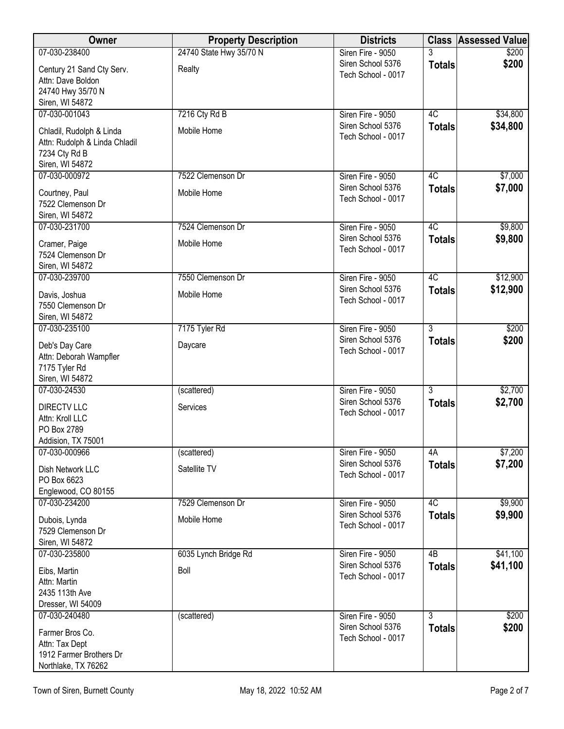| Owner                                          | <b>Property Description</b> | <b>Districts</b>                        | <b>Class</b>    | <b>Assessed Value</b> |
|------------------------------------------------|-----------------------------|-----------------------------------------|-----------------|-----------------------|
| 07-030-238400                                  | 24740 State Hwy 35/70 N     | Siren Fire - 9050                       |                 | \$200                 |
| Century 21 Sand Cty Serv.                      | Realty                      | Siren School 5376<br>Tech School - 0017 | <b>Totals</b>   | \$200                 |
| Attn: Dave Boldon                              |                             |                                         |                 |                       |
| 24740 Hwy 35/70 N                              |                             |                                         |                 |                       |
| Siren, WI 54872<br>07-030-001043               | 7216 Cty Rd B               | Siren Fire - 9050                       | 4C              | \$34,800              |
|                                                |                             | Siren School 5376                       | <b>Totals</b>   | \$34,800              |
| Chladil, Rudolph & Linda                       | Mobile Home                 | Tech School - 0017                      |                 |                       |
| Attn: Rudolph & Linda Chladil<br>7234 Cty Rd B |                             |                                         |                 |                       |
| Siren, WI 54872                                |                             |                                         |                 |                       |
| 07-030-000972                                  | 7522 Clemenson Dr           | Siren Fire - 9050                       | 4C              | \$7,000               |
| Courtney, Paul                                 | Mobile Home                 | Siren School 5376                       | <b>Totals</b>   | \$7,000               |
| 7522 Clemenson Dr                              |                             | Tech School - 0017                      |                 |                       |
| Siren, WI 54872                                |                             |                                         |                 |                       |
| 07-030-231700                                  | 7524 Clemenson Dr           | Siren Fire - 9050                       | 4C              | \$9,800               |
| Cramer, Paige                                  | Mobile Home                 | Siren School 5376                       | <b>Totals</b>   | \$9,800               |
| 7524 Clemenson Dr                              |                             | Tech School - 0017                      |                 |                       |
| Siren, WI 54872                                |                             |                                         |                 |                       |
| 07-030-239700                                  | 7550 Clemenson Dr           | Siren Fire - 9050                       | 4C              | \$12,900              |
| Davis, Joshua                                  | Mobile Home                 | Siren School 5376<br>Tech School - 0017 | <b>Totals</b>   | \$12,900              |
| 7550 Clemenson Dr                              |                             |                                         |                 |                       |
| Siren, WI 54872                                |                             |                                         |                 |                       |
| 07-030-235100                                  | 7175 Tyler Rd               | Siren Fire - 9050<br>Siren School 5376  | $\overline{3}$  | \$200<br>\$200        |
| Deb's Day Care                                 | Daycare                     | Tech School - 0017                      | <b>Totals</b>   |                       |
| Attn: Deborah Wampfler                         |                             |                                         |                 |                       |
| 7175 Tyler Rd<br>Siren, WI 54872               |                             |                                         |                 |                       |
| 07-030-24530                                   | (scattered)                 | Siren Fire - 9050                       | $\overline{3}$  | \$2,700               |
|                                                | Services                    | Siren School 5376                       | <b>Totals</b>   | \$2,700               |
| <b>DIRECTV LLC</b><br>Attn: Kroll LLC          |                             | Tech School - 0017                      |                 |                       |
| PO Box 2789                                    |                             |                                         |                 |                       |
| Addision, TX 75001                             |                             |                                         |                 |                       |
| 07-030-000966                                  | (scattered)                 | Siren Fire - 9050                       | 4A              | \$7,200               |
| Dish Network LLC                               | Satellite TV                | Siren School 5376                       | <b>Totals</b>   | \$7,200               |
| PO Box 6623                                    |                             | Tech School - 0017                      |                 |                       |
| Englewood, CO 80155                            |                             |                                         |                 |                       |
| 07-030-234200                                  | 7529 Clemenson Dr           | Siren Fire - 9050<br>Siren School 5376  | 4C              | \$9,900               |
| Dubois, Lynda                                  | Mobile Home                 | Tech School - 0017                      | <b>Totals</b>   | \$9,900               |
| 7529 Clemenson Dr                              |                             |                                         |                 |                       |
| Siren, WI 54872<br>07-030-235800               | 6035 Lynch Bridge Rd        | Siren Fire - 9050                       | $\overline{AB}$ | \$41,100              |
|                                                |                             | Siren School 5376                       | <b>Totals</b>   | \$41,100              |
| Eibs, Martin                                   | Boll                        | Tech School - 0017                      |                 |                       |
| Attn: Martin<br>2435 113th Ave                 |                             |                                         |                 |                       |
| Dresser, WI 54009                              |                             |                                         |                 |                       |
| 07-030-240480                                  | (scattered)                 | Siren Fire - 9050                       | $\overline{3}$  | \$200                 |
| Farmer Bros Co.                                |                             | Siren School 5376                       | <b>Totals</b>   | \$200                 |
| Attn: Tax Dept                                 |                             | Tech School - 0017                      |                 |                       |
| 1912 Farmer Brothers Dr                        |                             |                                         |                 |                       |
| Northlake, TX 76262                            |                             |                                         |                 |                       |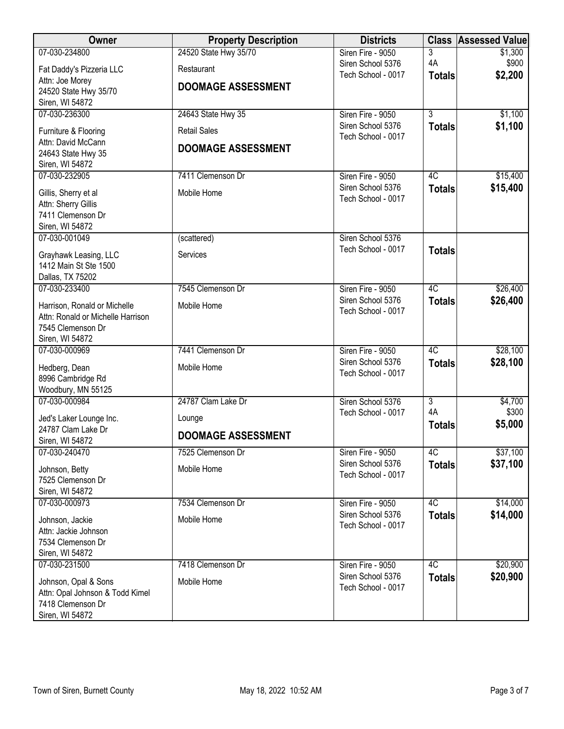| Owner                                                   | <b>Property Description</b> | <b>Districts</b>                        | <b>Class</b>    | <b>Assessed Value</b> |
|---------------------------------------------------------|-----------------------------|-----------------------------------------|-----------------|-----------------------|
| 07-030-234800                                           | 24520 State Hwy 35/70       | Siren Fire - 9050                       | 3               | \$1,300               |
| Fat Daddy's Pizzeria LLC                                | Restaurant                  | Siren School 5376                       | 4A              | \$900                 |
| Attn: Joe Morey                                         | <b>DOOMAGE ASSESSMENT</b>   | Tech School - 0017                      | <b>Totals</b>   | \$2,200               |
| 24520 State Hwy 35/70                                   |                             |                                         |                 |                       |
| Siren, WI 54872<br>07-030-236300                        | 24643 State Hwy 35          | Siren Fire - 9050                       | $\overline{3}$  | \$1,100               |
|                                                         |                             | Siren School 5376                       | <b>Totals</b>   | \$1,100               |
| Furniture & Flooring                                    | <b>Retail Sales</b>         | Tech School - 0017                      |                 |                       |
| Attn: David McCann<br>24643 State Hwy 35                | <b>DOOMAGE ASSESSMENT</b>   |                                         |                 |                       |
| Siren, WI 54872                                         |                             |                                         |                 |                       |
| 07-030-232905                                           | 7411 Clemenson Dr           | Siren Fire - 9050                       | 4C              | \$15,400              |
| Gillis, Sherry et al                                    | Mobile Home                 | Siren School 5376                       | <b>Totals</b>   | \$15,400              |
| Attn: Sherry Gillis                                     |                             | Tech School - 0017                      |                 |                       |
| 7411 Clemenson Dr                                       |                             |                                         |                 |                       |
| Siren, WI 54872                                         |                             |                                         |                 |                       |
| 07-030-001049                                           | (scattered)                 | Siren School 5376                       |                 |                       |
| Grayhawk Leasing, LLC                                   | Services                    | Tech School - 0017                      | <b>Totals</b>   |                       |
| 1412 Main St Ste 1500                                   |                             |                                         |                 |                       |
| Dallas, TX 75202                                        |                             |                                         |                 |                       |
| 07-030-233400                                           | 7545 Clemenson Dr           | Siren Fire - 9050<br>Siren School 5376  | 4C              | \$26,400              |
| Harrison, Ronald or Michelle                            | Mobile Home                 | Tech School - 0017                      | <b>Totals</b>   | \$26,400              |
| Attn: Ronald or Michelle Harrison                       |                             |                                         |                 |                       |
| 7545 Clemenson Dr<br>Siren, WI 54872                    |                             |                                         |                 |                       |
| 07-030-000969                                           | 7441 Clemenson Dr           | Siren Fire - 9050                       | $\overline{4C}$ | \$28,100              |
|                                                         |                             | Siren School 5376                       | <b>Totals</b>   | \$28,100              |
| Hedberg, Dean<br>8996 Cambridge Rd                      | Mobile Home                 | Tech School - 0017                      |                 |                       |
| Woodbury, MN 55125                                      |                             |                                         |                 |                       |
| 07-030-000984                                           | 24787 Clam Lake Dr          | Siren School 5376                       | $\overline{3}$  | \$4,700               |
| Jed's Laker Lounge Inc.                                 | Lounge                      | Tech School - 0017                      | 4A              | \$300                 |
| 24787 Clam Lake Dr                                      |                             |                                         | <b>Totals</b>   | \$5,000               |
| Siren, WI 54872                                         | <b>DOOMAGE ASSESSMENT</b>   |                                         |                 |                       |
| 07-030-240470                                           | 7525 Clemenson Dr           | Siren Fire - 9050                       | 4C              | \$37,100              |
| Johnson, Betty                                          | Mobile Home                 | Siren School 5376<br>Tech School - 0017 | <b>Totals</b>   | \$37,100              |
| 7525 Clemenson Dr                                       |                             |                                         |                 |                       |
| Siren, WI 54872                                         |                             |                                         |                 |                       |
| 07-030-000973                                           | 7534 Clemenson Dr           | Siren Fire - 9050<br>Siren School 5376  | 4C              | \$14,000<br>\$14,000  |
| Johnson, Jackie                                         | Mobile Home                 | Tech School - 0017                      | <b>Totals</b>   |                       |
| Attn: Jackie Johnson                                    |                             |                                         |                 |                       |
| 7534 Clemenson Dr<br>Siren, WI 54872                    |                             |                                         |                 |                       |
| 07-030-231500                                           | 7418 Clemenson Dr           | Siren Fire - 9050                       | 4C              | \$20,900              |
|                                                         | Mobile Home                 | Siren School 5376                       | <b>Totals</b>   | \$20,900              |
| Johnson, Opal & Sons<br>Attn: Opal Johnson & Todd Kimel |                             | Tech School - 0017                      |                 |                       |
| 7418 Clemenson Dr                                       |                             |                                         |                 |                       |
| Siren, WI 54872                                         |                             |                                         |                 |                       |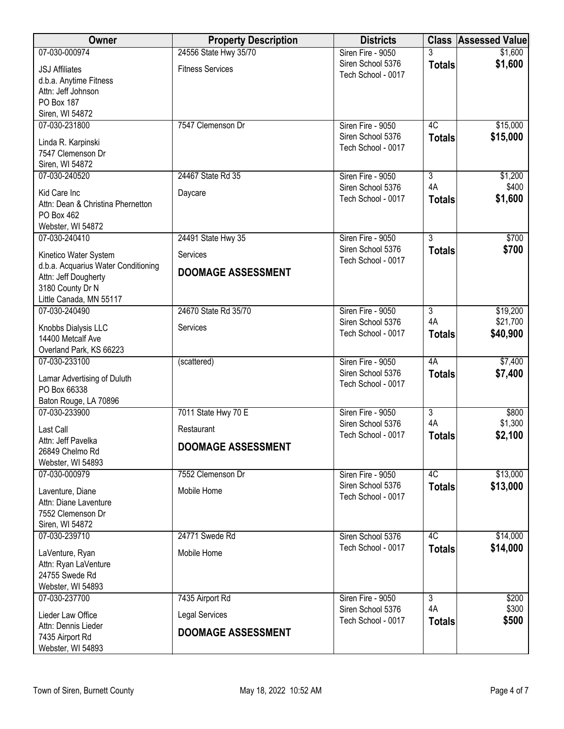| <b>Owner</b>                             | <b>Property Description</b> | <b>Districts</b>                        | <b>Class</b>   | <b>Assessed Value</b> |
|------------------------------------------|-----------------------------|-----------------------------------------|----------------|-----------------------|
| 07-030-000974                            | 24556 State Hwy 35/70       | Siren Fire - 9050                       |                | \$1,600               |
| <b>JSJ Affiliates</b>                    | <b>Fitness Services</b>     | Siren School 5376                       | <b>Totals</b>  | \$1,600               |
| d.b.a. Anytime Fitness                   |                             | Tech School - 0017                      |                |                       |
| Attn: Jeff Johnson                       |                             |                                         |                |                       |
| PO Box 187                               |                             |                                         |                |                       |
| Siren, WI 54872                          |                             |                                         |                |                       |
| 07-030-231800                            | 7547 Clemenson Dr           | Siren Fire - 9050                       | 4C             | \$15,000              |
| Linda R. Karpinski                       |                             | Siren School 5376<br>Tech School - 0017 | <b>Totals</b>  | \$15,000              |
| 7547 Clemenson Dr                        |                             |                                         |                |                       |
| Siren, WI 54872                          |                             |                                         |                |                       |
| 07-030-240520                            | 24467 State Rd 35           | Siren Fire - 9050<br>Siren School 5376  | 3<br>4A        | \$1,200<br>\$400      |
| Kid Care Inc                             | Daycare                     | Tech School - 0017                      | <b>Totals</b>  | \$1,600               |
| Attn: Dean & Christina Phernetton        |                             |                                         |                |                       |
| PO Box 462                               |                             |                                         |                |                       |
| Webster, WI 54872<br>07-030-240410       | 24491 State Hwy 35          | Siren Fire - 9050                       | $\overline{3}$ | \$700                 |
|                                          |                             | Siren School 5376                       | <b>Totals</b>  | \$700                 |
| Kinetico Water System                    | Services                    | Tech School - 0017                      |                |                       |
| d.b.a. Acquarius Water Conditioning      | <b>DOOMAGE ASSESSMENT</b>   |                                         |                |                       |
| Attn: Jeff Dougherty<br>3180 County Dr N |                             |                                         |                |                       |
| Little Canada, MN 55117                  |                             |                                         |                |                       |
| 07-030-240490                            | 24670 State Rd 35/70        | Siren Fire - 9050                       | $\overline{3}$ | \$19,200              |
| Knobbs Dialysis LLC                      | Services                    | Siren School 5376                       | 4A             | \$21,700              |
| 14400 Metcalf Ave                        |                             | Tech School - 0017                      | <b>Totals</b>  | \$40,900              |
| Overland Park, KS 66223                  |                             |                                         |                |                       |
| 07-030-233100                            | (scattered)                 | Siren Fire - 9050                       | 4A             | \$7,400               |
| Lamar Advertising of Duluth              |                             | Siren School 5376                       | <b>Totals</b>  | \$7,400               |
| PO Box 66338                             |                             | Tech School - 0017                      |                |                       |
| Baton Rouge, LA 70896                    |                             |                                         |                |                       |
| 07-030-233900                            | 7011 State Hwy 70 E         | Siren Fire - 9050                       | $\overline{3}$ | \$800                 |
| Last Call                                | Restaurant                  | Siren School 5376                       | 4A             | \$1,300               |
| Attn: Jeff Pavelka                       |                             | Tech School - 0017                      | <b>Totals</b>  | \$2,100               |
| 26849 Chelmo Rd                          | <b>DOOMAGE ASSESSMENT</b>   |                                         |                |                       |
| Webster, WI 54893                        |                             |                                         |                |                       |
| 07-030-000979                            | 7552 Clemenson Dr           | Siren Fire - 9050                       | 4C             | \$13,000              |
| Laventure, Diane                         | Mobile Home                 | Siren School 5376<br>Tech School - 0017 | <b>Totals</b>  | \$13,000              |
| Attn: Diane Laventure                    |                             |                                         |                |                       |
| 7552 Clemenson Dr                        |                             |                                         |                |                       |
| Siren, WI 54872<br>07-030-239710         | 24771 Swede Rd              | Siren School 5376                       | 4C             |                       |
|                                          |                             | Tech School - 0017                      | <b>Totals</b>  | \$14,000<br>\$14,000  |
| LaVenture, Ryan                          | Mobile Home                 |                                         |                |                       |
| Attn: Ryan LaVenture                     |                             |                                         |                |                       |
| 24755 Swede Rd<br>Webster, WI 54893      |                             |                                         |                |                       |
| 07-030-237700                            | 7435 Airport Rd             | Siren Fire - 9050                       | $\overline{3}$ | \$200                 |
|                                          |                             | Siren School 5376                       | 4A             | \$300                 |
| Lieder Law Office<br>Attn: Dennis Lieder | Legal Services              | Tech School - 0017                      | <b>Totals</b>  | \$500                 |
| 7435 Airport Rd                          | <b>DOOMAGE ASSESSMENT</b>   |                                         |                |                       |
| Webster, WI 54893                        |                             |                                         |                |                       |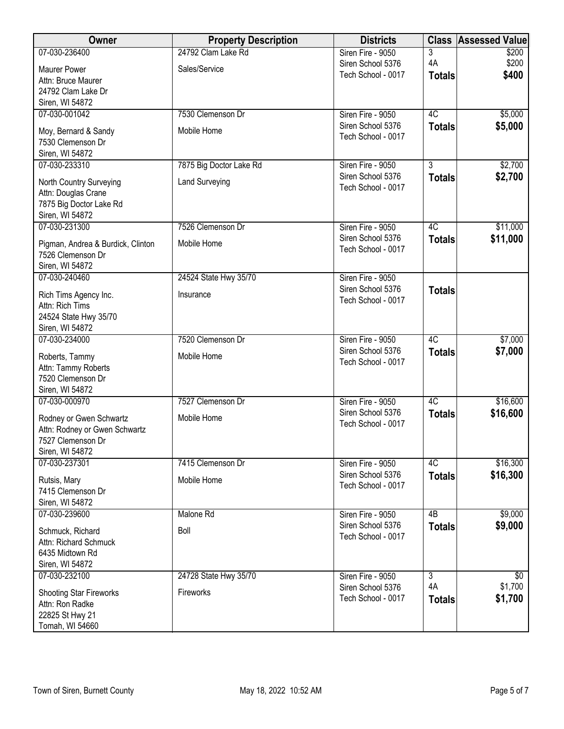| Owner                                              | <b>Property Description</b> | <b>Districts</b>   | <b>Class</b>   | <b>Assessed Value</b> |
|----------------------------------------------------|-----------------------------|--------------------|----------------|-----------------------|
| 07-030-236400                                      | 24792 Clam Lake Rd          | Siren Fire - 9050  | 3              | \$200                 |
| <b>Maurer Power</b>                                | Sales/Service               | Siren School 5376  | 4A             | \$200                 |
| Attn: Bruce Maurer                                 |                             | Tech School - 0017 | <b>Totals</b>  | \$400                 |
| 24792 Clam Lake Dr                                 |                             |                    |                |                       |
| Siren, WI 54872                                    |                             |                    |                |                       |
| 07-030-001042                                      | 7530 Clemenson Dr           | Siren Fire - 9050  | 4C             | \$5,000               |
|                                                    | Mobile Home                 | Siren School 5376  | <b>Totals</b>  | \$5,000               |
| Moy, Bernard & Sandy<br>7530 Clemenson Dr          |                             | Tech School - 0017 |                |                       |
| Siren, WI 54872                                    |                             |                    |                |                       |
| 07-030-233310                                      | 7875 Big Doctor Lake Rd     | Siren Fire - 9050  | $\overline{3}$ | \$2,700               |
|                                                    |                             | Siren School 5376  | <b>Totals</b>  | \$2,700               |
| North Country Surveying                            | <b>Land Surveying</b>       | Tech School - 0017 |                |                       |
| Attn: Douglas Crane                                |                             |                    |                |                       |
| 7875 Big Doctor Lake Rd                            |                             |                    |                |                       |
| Siren, WI 54872<br>07-030-231300                   | 7526 Clemenson Dr           | Siren Fire - 9050  | 4C             |                       |
|                                                    |                             | Siren School 5376  |                | \$11,000              |
| Pigman, Andrea & Burdick, Clinton                  | Mobile Home                 | Tech School - 0017 | <b>Totals</b>  | \$11,000              |
| 7526 Clemenson Dr                                  |                             |                    |                |                       |
| Siren, WI 54872                                    |                             |                    |                |                       |
| 07-030-240460                                      | 24524 State Hwy 35/70       | Siren Fire - 9050  |                |                       |
| Rich Tims Agency Inc.                              | Insurance                   | Siren School 5376  | <b>Totals</b>  |                       |
| Attn: Rich Tims                                    |                             | Tech School - 0017 |                |                       |
| 24524 State Hwy 35/70                              |                             |                    |                |                       |
| Siren, WI 54872                                    |                             |                    |                |                       |
| 07-030-234000                                      | 7520 Clemenson Dr           | Siren Fire - 9050  | 4C             | \$7,000               |
| Roberts, Tammy                                     | Mobile Home                 | Siren School 5376  | <b>Totals</b>  | \$7,000               |
| Attn: Tammy Roberts                                |                             | Tech School - 0017 |                |                       |
| 7520 Clemenson Dr                                  |                             |                    |                |                       |
| Siren, WI 54872                                    |                             |                    |                |                       |
| 07-030-000970                                      | 7527 Clemenson Dr           | Siren Fire - 9050  | 4C             | \$16,600              |
|                                                    |                             | Siren School 5376  | <b>Totals</b>  | \$16,600              |
| Rodney or Gwen Schwartz                            | Mobile Home                 | Tech School - 0017 |                |                       |
| Attn: Rodney or Gwen Schwartz<br>7527 Clemenson Dr |                             |                    |                |                       |
| Siren, WI 54872                                    |                             |                    |                |                       |
| 07-030-237301                                      | 7415 Clemenson Dr           | Siren Fire - 9050  | 4C             | \$16,300              |
|                                                    |                             | Siren School 5376  | <b>Totals</b>  | \$16,300              |
| Rutsis, Mary                                       | Mobile Home                 | Tech School - 0017 |                |                       |
| 7415 Clemenson Dr                                  |                             |                    |                |                       |
| Siren, WI 54872<br>07-030-239600                   | Malone Rd                   | Siren Fire - 9050  |                |                       |
|                                                    |                             | Siren School 5376  | 4B             | \$9,000               |
| Schmuck, Richard                                   | Boll                        | Tech School - 0017 | <b>Totals</b>  | \$9,000               |
| Attn: Richard Schmuck                              |                             |                    |                |                       |
| 6435 Midtown Rd                                    |                             |                    |                |                       |
| Siren, WI 54872                                    |                             |                    |                |                       |
| 07-030-232100                                      | 24728 State Hwy 35/70       | Siren Fire - 9050  | 3              | \$0                   |
| Shooting Star Fireworks                            | Fireworks                   | Siren School 5376  | 4A             | \$1,700               |
| Attn: Ron Radke                                    |                             | Tech School - 0017 | <b>Totals</b>  | \$1,700               |
| 22825 St Hwy 21                                    |                             |                    |                |                       |
| Tomah, WI 54660                                    |                             |                    |                |                       |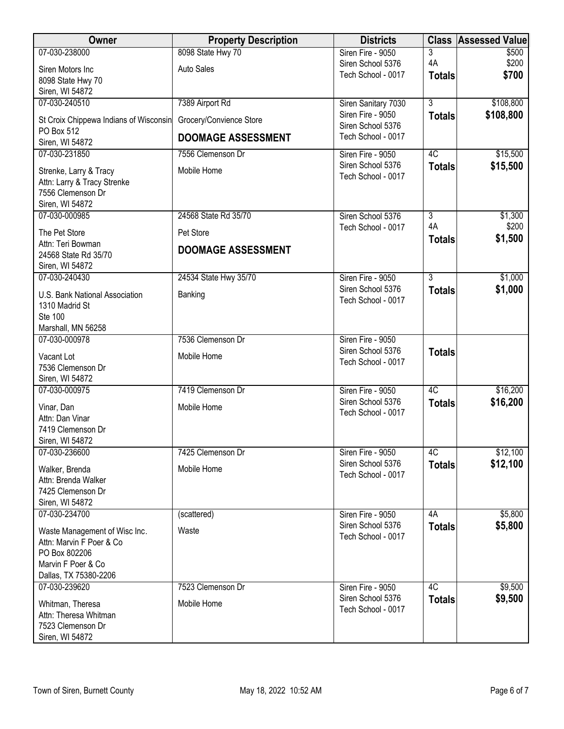| Owner                                            | <b>Property Description</b> | <b>Districts</b>                         |                | <b>Class Assessed Value</b> |
|--------------------------------------------------|-----------------------------|------------------------------------------|----------------|-----------------------------|
| 07-030-238000                                    | 8098 State Hwy 70           | Siren Fire - 9050                        | 3              | \$500                       |
| Siren Motors Inc                                 | Auto Sales                  | Siren School 5376<br>Tech School - 0017  | 4A             | \$200<br>\$700              |
| 8098 State Hwy 70                                |                             |                                          | <b>Totals</b>  |                             |
| Siren, WI 54872                                  |                             |                                          |                |                             |
| 07-030-240510                                    | 7389 Airport Rd             | Siren Sanitary 7030<br>Siren Fire - 9050 | $\overline{3}$ | \$108,800                   |
| St Croix Chippewa Indians of Wisconsin           | Grocery/Convience Store     | Siren School 5376                        | <b>Totals</b>  | \$108,800                   |
| PO Box 512                                       | <b>DOOMAGE ASSESSMENT</b>   | Tech School - 0017                       |                |                             |
| Siren, WI 54872<br>07-030-231850                 | 7556 Clemenson Dr           | Siren Fire - 9050                        | 4C             | \$15,500                    |
|                                                  |                             | Siren School 5376                        | <b>Totals</b>  | \$15,500                    |
| Strenke, Larry & Tracy                           | Mobile Home                 | Tech School - 0017                       |                |                             |
| Attn: Larry & Tracy Strenke<br>7556 Clemenson Dr |                             |                                          |                |                             |
| Siren, WI 54872                                  |                             |                                          |                |                             |
| 07-030-000985                                    | 24568 State Rd 35/70        | Siren School 5376                        | $\overline{3}$ | \$1,300                     |
| The Pet Store                                    | Pet Store                   | Tech School - 0017                       | 4A             | \$200                       |
| Attn: Teri Bowman                                |                             |                                          | <b>Totals</b>  | \$1,500                     |
| 24568 State Rd 35/70                             | <b>DOOMAGE ASSESSMENT</b>   |                                          |                |                             |
| Siren, WI 54872                                  |                             |                                          |                |                             |
| 07-030-240430                                    | 24534 State Hwy 35/70       | Siren Fire - 9050                        | $\overline{3}$ | \$1,000                     |
| U.S. Bank National Association                   | Banking                     | Siren School 5376                        | <b>Totals</b>  | \$1,000                     |
| 1310 Madrid St                                   |                             | Tech School - 0017                       |                |                             |
| Ste 100                                          |                             |                                          |                |                             |
| Marshall, MN 56258                               |                             |                                          |                |                             |
| 07-030-000978                                    | 7536 Clemenson Dr           | Siren Fire - 9050<br>Siren School 5376   |                |                             |
| Vacant Lot                                       | Mobile Home                 | Tech School - 0017                       | <b>Totals</b>  |                             |
| 7536 Clemenson Dr                                |                             |                                          |                |                             |
| Siren, WI 54872<br>07-030-000975                 | 7419 Clemenson Dr           | Siren Fire - 9050                        | 4C             |                             |
|                                                  |                             | Siren School 5376                        | <b>Totals</b>  | \$16,200<br>\$16,200        |
| Vinar, Dan                                       | Mobile Home                 | Tech School - 0017                       |                |                             |
| Attn: Dan Vinar<br>7419 Clemenson Dr             |                             |                                          |                |                             |
| Siren, WI 54872                                  |                             |                                          |                |                             |
| 07-030-236600                                    | 7425 Clemenson Dr           | Siren Fire - 9050                        | 4C             | \$12,100                    |
| Walker, Brenda                                   | Mobile Home                 | Siren School 5376                        | <b>Totals</b>  | \$12,100                    |
| Attn: Brenda Walker                              |                             | Tech School - 0017                       |                |                             |
| 7425 Clemenson Dr                                |                             |                                          |                |                             |
| Siren, WI 54872                                  |                             |                                          |                |                             |
| 07-030-234700                                    | (scattered)                 | Siren Fire - 9050                        | 4A             | \$5,800                     |
| Waste Management of Wisc Inc.                    | Waste                       | Siren School 5376                        | <b>Totals</b>  | \$5,800                     |
| Attn: Marvin F Poer & Co                         |                             | Tech School - 0017                       |                |                             |
| PO Box 802206                                    |                             |                                          |                |                             |
| Marvin F Poer & Co                               |                             |                                          |                |                             |
| Dallas, TX 75380-2206                            | 7523 Clemenson Dr           |                                          | 4C             |                             |
| 07-030-239620                                    |                             | Siren Fire - 9050<br>Siren School 5376   | <b>Totals</b>  | \$9,500<br>\$9,500          |
| Whitman, Theresa                                 | Mobile Home                 | Tech School - 0017                       |                |                             |
| Attn: Theresa Whitman<br>7523 Clemenson Dr       |                             |                                          |                |                             |
| Siren, WI 54872                                  |                             |                                          |                |                             |